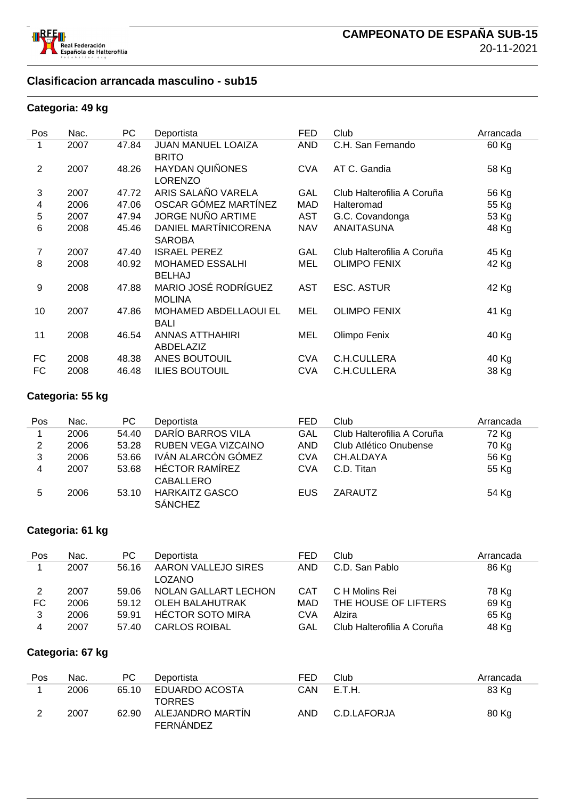

#### **Clasificacion arrancada masculino - sub15**

#### **Categoria: 49 kg**

| Pos            | Nac. | PC    | Deportista                                | <b>FED</b> | Club                       | Arrancada |
|----------------|------|-------|-------------------------------------------|------------|----------------------------|-----------|
| 1              | 2007 | 47.84 | <b>JUAN MANUEL LOAIZA</b><br><b>BRITO</b> | AND        | C.H. San Fernando          | 60 Kg     |
| 2              | 2007 | 48.26 | <b>HAYDAN QUIÑONES</b><br><b>LORENZO</b>  | <b>CVA</b> | AT C. Gandia               | 58 Kg     |
| 3              | 2007 | 47.72 | ARIS SALAÑO VARELA                        | GAL        | Club Halterofilia A Coruña | 56 Kg     |
| 4              | 2006 | 47.06 | OSCAR GÓMEZ MARTÍNEZ                      | MAD        | Halteromad                 | 55 Kg     |
| 5              | 2007 | 47.94 | <b>JORGE NUÑO ARTIME</b>                  | <b>AST</b> | G.C. Covandonga            | 53 Kg     |
| 6              | 2008 | 45.46 | DANIEL MARTÍNICORENA<br><b>SAROBA</b>     | <b>NAV</b> | <b>ANAITASUNA</b>          | 48 Kg     |
| $\overline{7}$ | 2007 | 47.40 | <b>ISRAEL PEREZ</b>                       | GAL        | Club Halterofilia A Coruña | 45 Kg     |
| 8              | 2008 | 40.92 | <b>MOHAMED ESSALHI</b><br><b>BELHAJ</b>   | <b>MEL</b> | <b>OLIMPO FENIX</b>        | 42 Kg     |
| 9              | 2008 | 47.88 | MARIO JOSÉ RODRÍGUEZ<br><b>MOLINA</b>     | <b>AST</b> | <b>ESC. ASTUR</b>          | 42 Kg     |
| 10             | 2007 | 47.86 | MOHAMED ABDELLAOUI EL<br><b>BALI</b>      | MEL        | <b>OLIMPO FENIX</b>        | 41 Kg     |
| 11             | 2008 | 46.54 | <b>ANNAS ATTHAHIRI</b><br>ABDELAZIZ       | MEL        | Olimpo Fenix               | 40 Kg     |
| FC             | 2008 | 48.38 | ANES BOUTOUIL                             | <b>CVA</b> | C.H.CULLERA                | 40 Kg     |
| FC             | 2008 | 46.48 | <b>ILIES BOUTOUIL</b>                     | <b>CVA</b> | C.H.CULLERA                | 38 Kg     |

#### **Categoria: 55 kg**

| Pos | Nac. | PC.   | Deportista                              | <b>FED</b> | Club                       | Arrancada |
|-----|------|-------|-----------------------------------------|------------|----------------------------|-----------|
|     | 2006 | 54.40 | DARÍO BARROS VILA                       | GAL        | Club Halterofilia A Coruña | 72 Kg     |
| 2   | 2006 | 53.28 | RUBEN VEGA VIZCAINO                     | <b>AND</b> | Club Atlético Onubense     | 70 Kg     |
| 3   | 2006 | 53.66 | IVÁN ALARCÓN GÓMEZ                      | <b>CVA</b> | CH.ALDAYA                  | 56 Kg     |
| 4   | 2007 | 53.68 | <b>HÉCTOR RAMÍREZ</b><br>CABALLERO      | CVA        | C.D. Titan                 | 55 Kg     |
| 5   | 2006 | 53.10 | <b>HARKAITZ GASCO</b><br><b>SÁNCHEZ</b> | EUS        | ZARAUTZ                    | 54 Kg     |

#### **Categoria: 61 kg**

| Pos | Nac. | PC.   | Deportista              | <b>FED</b> | Club                       | Arrancada |
|-----|------|-------|-------------------------|------------|----------------------------|-----------|
|     | 2007 | 56.16 | AARON VALLEJO SIRES     | <b>AND</b> | C.D. San Pablo             | 86 Kg     |
|     |      |       | <b>LOZANO</b>           |            |                            |           |
| 2   | 2007 | 59.06 | NOLAN GALLART LECHON    | <b>CAT</b> | C H Molins Rei             | 78 Kg     |
| FC. | 2006 | 59.12 | OLEH BALAHUTRAK         | MAD        | THE HOUSE OF LIFTERS       | 69 Kg     |
| 3   | 2006 | 59.91 | <b>HÉCTOR SOTO MIRA</b> | <b>CVA</b> | Alzira                     | 65 Kg     |
| 4   | 2007 | 57.40 | <b>CARLOS ROIBAL</b>    | GAL        | Club Halterofilia A Coruña | 48 Kg     |

#### **Categoria: 67 kg**

| Pos | Nac. | РC    | Deportista                    | FED | Club        | Arrancada |
|-----|------|-------|-------------------------------|-----|-------------|-----------|
|     | 2006 | 65.10 | EDUARDO ACOSTA                | CAN | E.T.H.      | 83 Kg     |
|     |      |       | <b>TORRES</b>                 |     |             |           |
|     | 2007 | 62.90 | ALEJANDRO MARTIN<br>FERNANDEZ | AND | C.D.LAFORJA | 80 Kg     |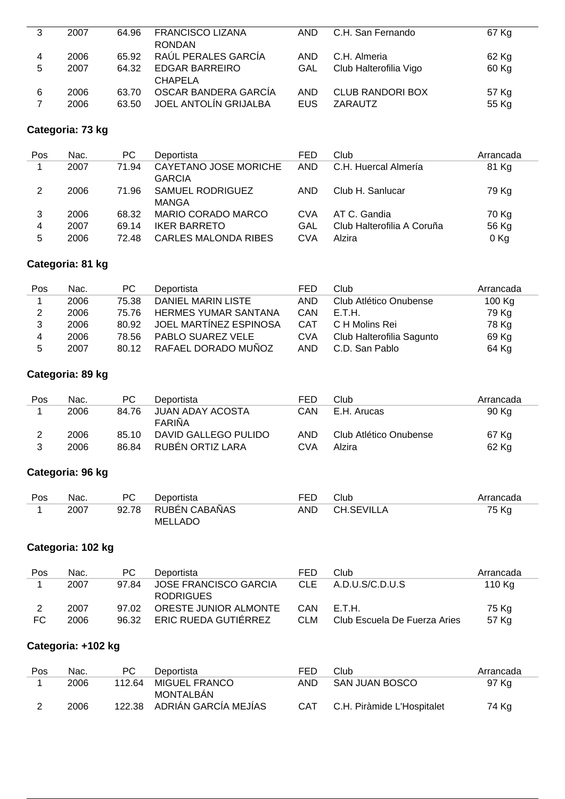| 3 | 2007 | 64.96 | <b>FRANCISCO LIZANA</b> | AND.       | C.H. San Fernando       | 67 Kg |
|---|------|-------|-------------------------|------------|-------------------------|-------|
|   |      |       | <b>RONDAN</b>           |            |                         |       |
| 4 | 2006 | 65.92 | RAÚL PERALES GARCÍA     | AND.       | C.H. Almeria            | 62 Kg |
| 5 | 2007 | 64.32 | <b>EDGAR BARREIRO</b>   | GAL        | Club Halterofilia Vigo  | 60 Kg |
|   |      |       | <b>CHAPELA</b>          |            |                         |       |
| 6 | 2006 | 63.70 | OSCAR BANDERA GARCÍA    | <b>AND</b> | <b>CLUB RANDORI BOX</b> | 57 Kg |
|   | 2006 | 63.50 | JOEL ANTOLÍN GRIJALBA   | <b>EUS</b> | ZARAUTZ                 | 55 Kg |
|   |      |       |                         |            |                         |       |

#### **Categoria: 73 kg**

| Pos | Nac. | PC.   | Deportista                             | FED        | Club                       | Arrancada |
|-----|------|-------|----------------------------------------|------------|----------------------------|-----------|
|     | 2007 | 71.94 | CAYETANO JOSE MORICHE<br><b>GARCIA</b> | <b>AND</b> | C.H. Huercal Almería       | 81 Kg     |
| 2   | 2006 | 71.96 | <b>SAMUEL RODRIGUEZ</b><br>MANGA       | AND        | Club H. Sanlucar           | 79 Kg     |
| 3   | 2006 | 68.32 | MARIO CORADO MARCO                     | <b>CVA</b> | AT C. Gandia               | 70 Kg     |
| 4   | 2007 | 69.14 | <b>IKER BARRETO</b>                    | GAL        | Club Halterofilia A Coruña | 56 Kg     |
| 5   | 2006 | 72.48 | <b>CARLES MALONDA RIBES</b>            | CVA        | Alzira                     | 0 Kg      |

## **Categoria: 81 kg**

| Pos | Nac. | PC.   | Deportista                  | FED        | Club                      | Arrancada |
|-----|------|-------|-----------------------------|------------|---------------------------|-----------|
|     | 2006 | 75.38 | DANIEL MARIN LISTE          | <b>AND</b> | Club Atlético Onubense    | 100 Kg    |
| 2   | 2006 | 75.76 | <b>HERMES YUMAR SANTANA</b> | CAN        | -E.T.H.                   | 79 Kg     |
|     | 2006 | 80.92 | JOEL MARTINEZ ESPINOSA      | <b>CAT</b> | C H Molins Rei            | 78 Kg     |
| 4   | 2006 | 78.56 | PABLO SUAREZ VELE           | <b>CVA</b> | Club Halterofilia Sagunto | 69 Kg     |
| 5   | 2007 | 80.12 | RAFAEL DORADO MUÑOZ         | AND        | C.D. San Pablo            | 64 Kg     |

## **Categoria: 89 kg**

| Pos | Nac. | PC.   | Deportista                 | FED        | Club                   | Arrancada |
|-----|------|-------|----------------------------|------------|------------------------|-----------|
|     | 2006 | 84.76 | JUAN ADAY ACOSTA<br>FARIÑA | CAN        | E.H. Arucas            | 90 Kg     |
|     | 2006 | 85.10 | DAVID GALLEGO PULIDO       | AND        | Club Atlético Onubense | 67 Kg     |
|     | 2006 | 86.84 | RUBÊN ORTIZ LARA           | <b>CVA</b> | Alzira                 | 62 Kg     |

## **Categoria: 96 kg**

| Pos | Nac. | РC    | Deportista     | <b>FED</b> | Club       | Arrancada |
|-----|------|-------|----------------|------------|------------|-----------|
|     | 2007 | 92.78 | RUBÉN CABAÑAS  | <b>AND</b> | CH.SEVILLA | 75 Kg     |
|     |      |       | <b>MELLADO</b> |            |            |           |

## **Categoria: 102 kg**

| Pos | Nac. | PC.   | Deportista                  | FED        | Club                         | Arrancada |
|-----|------|-------|-----------------------------|------------|------------------------------|-----------|
|     | 2007 | 97.84 | JOSE FRANCISCO GARCIA       | CLE.       | A.D.U.S/C.D.U.S              | 110 Kg    |
|     |      |       | <b>RODRIGUES</b>            |            |                              |           |
|     | 2007 | 97.02 | ORESTE JUNIOR ALMONTE       | CAN        | -E.T.H.                      | 75 Kg     |
| FC  | 2006 | 96.32 | <b>ERIC RUEDA GUTIERREZ</b> | <b>CLM</b> | Club Escuela De Fuerza Aries | 57 Kg     |

## **Categoria: +102 kg**

| <b>Pos</b> | Nac. | PC.    | Deportista                  | FED        | Club                       | Arrancada |
|------------|------|--------|-----------------------------|------------|----------------------------|-----------|
|            | 2006 | 112.64 | MIGUEL FRANCO               | AND        | SAN JUAN BOSCO             | 97 Kg     |
|            |      |        | <b>MONTALBAN</b>            |            |                            |           |
|            | 2006 |        | 122.38 ADRIÁN GARCÍA MEJÍAS | <b>CAT</b> | C.H. Piràmide L'Hospitalet | 74 Kg     |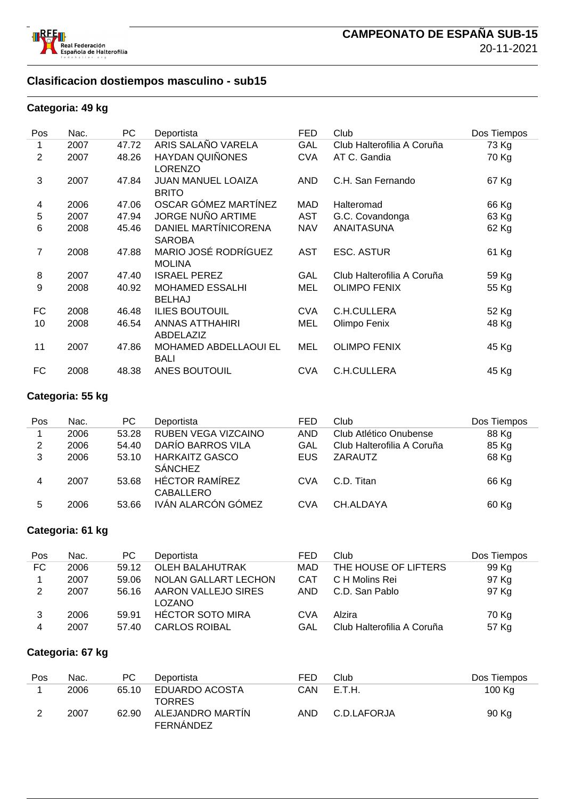

#### **Clasificacion dostiempos masculino - sub15**

#### **Categoria: 49 kg**

| Pos | Nac. | PC    | Deportista                                  | <b>FED</b> | Club                       | Dos Tiempos |
|-----|------|-------|---------------------------------------------|------------|----------------------------|-------------|
| 1   | 2007 | 47.72 | ARIS SALAÑO VARELA                          | GAL        | Club Halterofilia A Coruña | 73 Kg       |
| 2   | 2007 | 48.26 | <b>HAYDAN QUIÑONES</b><br><b>LORENZO</b>    | <b>CVA</b> | AT C. Gandia               | 70 Kg       |
| 3   | 2007 | 47.84 | <b>JUAN MANUEL LOAIZA</b><br><b>BRITO</b>   | <b>AND</b> | C.H. San Fernando          | 67 Kg       |
| 4   | 2006 | 47.06 | OSCAR GÓMEZ MARTÍNEZ                        | MAD        | Halteromad                 | 66 Kg       |
| 5   | 2007 | 47.94 | <b>JORGE NUÑO ARTIME</b>                    | <b>AST</b> | G.C. Covandonga            | 63 Kg       |
| 6   | 2008 | 45.46 | DANIEL MARTÍNICORENA<br><b>SAROBA</b>       | <b>NAV</b> | <b>ANAITASUNA</b>          | 62 Kg       |
| 7   | 2008 | 47.88 | MARIO JOSÉ RODRÍGUEZ<br><b>MOLINA</b>       | <b>AST</b> | <b>ESC. ASTUR</b>          | 61 Kg       |
| 8   | 2007 | 47.40 | <b>ISRAEL PEREZ</b>                         | GAL        | Club Halterofilia A Coruña | 59 Kg       |
| 9   | 2008 | 40.92 | <b>MOHAMED ESSALHI</b><br><b>BELHAJ</b>     | MEL        | <b>OLIMPO FENIX</b>        | 55 Kg       |
| FC  | 2008 | 46.48 | <b>ILIES BOUTOUIL</b>                       | <b>CVA</b> | C.H.CULLERA                | 52 Kg       |
| 10  | 2008 | 46.54 | <b>ANNAS ATTHAHIRI</b><br>ABDELAZIZ         | MEL        | Olimpo Fenix               | 48 Kg       |
| 11  | 2007 | 47.86 | <b>MOHAMED ABDELLAOUI EL</b><br><b>BALI</b> | MEL        | <b>OLIMPO FENIX</b>        | 45 Kg       |
| FC  | 2008 | 48.38 | ANES BOUTOUIL                               | <b>CVA</b> | C.H.CULLERA                | 45 Kg       |

#### **Categoria: 55 kg**

| Pos | Nac. | PC.   | Deportista                                | FED        | Club                       | Dos Tiempos |
|-----|------|-------|-------------------------------------------|------------|----------------------------|-------------|
|     | 2006 | 53.28 | RUBEN VEGA VIZCAINO                       | <b>AND</b> | Club Atlético Onubense     | 88 Kg       |
| 2   | 2006 | 54.40 | DARÍO BARROS VILA                         | GAL        | Club Halterofilia A Coruña | 85 Kg       |
| 3   | 2006 | 53.10 | <b>HARKAITZ GASCO</b><br><b>SÁNCHEZ</b>   | <b>EUS</b> | ZARAUTZ                    | 68 Kg       |
| 4   | 2007 | 53.68 | <b>HÉCTOR RAMÍREZ</b><br><b>CABALLERO</b> | <b>CVA</b> | C.D. Titan                 | 66 Kg       |
| 5   | 2006 | 53.66 | IVÁN ALARCÓN GÓMEZ                        | <b>CVA</b> | CH.ALDAYA                  | 60 Kg       |

#### **Categoria: 61 kg**

| Pos | Nac. | PC.   | Deportista              | FED        | Club                       | Dos Tiempos |
|-----|------|-------|-------------------------|------------|----------------------------|-------------|
| FC. | 2006 | 59.12 | <b>OLEH BALAHUTRAK</b>  | <b>MAD</b> | THE HOUSE OF LIFTERS       | 99 Kg       |
|     | 2007 | 59.06 | NOLAN GALLART LECHON    | CAT        | C H Molins Rei             | 97 Kg       |
| 2   | 2007 | 56.16 | AARON VALLEJO SIRES     | AND        | C.D. San Pablo             | 97 Kg       |
|     |      |       | <b>LOZANO</b>           |            |                            |             |
|     | 2006 | 59.91 | <b>HÉCTOR SOTO MIRA</b> | <b>CVA</b> | Alzira                     | 70 Kg       |
| 4   | 2007 | 57.40 | <b>CARLOS ROIBAL</b>    | GAL        | Club Halterofilia A Coruña | 57 Kg       |

#### **Categoria: 67 kg**

| Pos | Nac. | PС    | Deportista                           | FED        | Club        | Dos Tiempos |
|-----|------|-------|--------------------------------------|------------|-------------|-------------|
|     | 2006 | 65.10 | EDUARDO ACOSTA<br><b>TORRES</b>      | CAN        | E.T.H.      | 100 Kg      |
|     | 2007 | 62.90 | ALEJANDRO MARTÍN<br><b>FERNANDEZ</b> | <b>AND</b> | C.D.LAFORJA | 90 Kg       |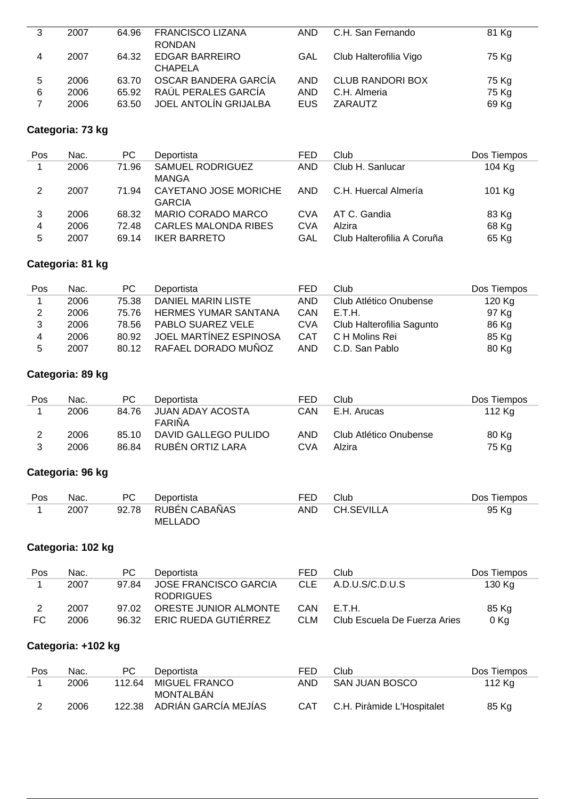| 3 | 2007 | 64.96 | <b>FRANCISCO LIZANA</b> | AND.       | C.H. San Fernando       | 81 Kg |
|---|------|-------|-------------------------|------------|-------------------------|-------|
|   |      |       | <b>RONDAN</b>           |            |                         |       |
| 4 | 2007 | 64.32 | <b>EDGAR BARREIRO</b>   | GAL        | Club Halterofilia Vigo  | 75 Kg |
|   |      |       | <b>CHAPELA</b>          |            |                         |       |
| 5 | 2006 | 63.70 | OSCAR BANDERA GARCÍA    | <b>AND</b> | <b>CLUB RANDORI BOX</b> | 75 Kg |
| 6 | 2006 | 65.92 | RAÚL PERALES GARCÍA     | AND        | C.H. Almeria            | 75 Kg |
|   | 2006 | 63.50 | JOEL ANTOLÍN GRIJALBA   | EUS.       | ZARAUTZ                 | 69 Kg |
|   |      |       |                         |            |                         |       |

#### **Categoria: 73 kg**

| Pos | Nac. | PC.   | Deportista                             | FED        | Club                       | Dos Tiempos |
|-----|------|-------|----------------------------------------|------------|----------------------------|-------------|
|     | 2006 | 71.96 | <b>SAMUEL RODRIGUEZ</b><br>MANGA       | <b>AND</b> | Club H. Sanlucar           | 104 Kg      |
| 2   | 2007 | 71.94 | CAYETANO JOSE MORICHE<br><b>GARCIA</b> | <b>AND</b> | C.H. Huercal Almería       | 101 Kg      |
| 3   | 2006 | 68.32 | MARIO CORADO MARCO                     | CVA        | AT C. Gandia               | 83 Kg       |
| 4   | 2006 | 72.48 | <b>CARLES MALONDA RIBES</b>            | CVA        | Alzira                     | 68 Kg       |
| 5   | 2007 | 69.14 | <b>IKER BARRETO</b>                    | GAL        | Club Halterofilia A Coruña | 65 Kg       |

## **Categoria: 81 kg**

| Pos | Nac. | PC.   | Deportista                  | FED        | Club                      | Dos Tiempos |
|-----|------|-------|-----------------------------|------------|---------------------------|-------------|
|     | 2006 | 75.38 | DANIEL MARIN LISTE          | AND        | Club Atlético Onubense    | 120 Kg      |
|     | 2006 | 75.76 | <b>HERMES YUMAR SANTANA</b> | CAN        | E.T.H.                    | 97 Kg       |
|     | 2006 | 78.56 | <b>PABLO SUAREZ VELE</b>    | <b>CVA</b> | Club Halterofilia Sagunto | 86 Kg       |
| 4   | 2006 | 80.92 | JOEL MARTÍNEZ ESPINOSA      | <b>CAT</b> | C H Molins Rei            | 85 Kg       |
| 5   | 2007 | 80.12 | RAFAEL DORADO MUÑOZ         | AND        | C.D. San Pablo            | 80 Kg       |

## **Categoria: 89 kg**

| Pos | Nac. | PC.   | Deportista                 | FED | Club                   | Dos Tiempos |
|-----|------|-------|----------------------------|-----|------------------------|-------------|
|     | 2006 | 84.76 | JUAN ADAY ACOSTA<br>FARIÑA | CAN | E.H. Arucas            | 112 Kg      |
|     | 2006 | 85 10 | DAVID GALLEGO PULIDO       | AND | Club Atlético Onubense | 80 Kg       |
|     | 2006 | 86.84 | RUBÉN ORTIZ LARA           | CVA | Alzira                 | 75 Kg       |

## **Categoria: 96 kg**

| Pos | Nac. | PC. | Deportista          | FED. | Club       | Dos Tiempos |
|-----|------|-----|---------------------|------|------------|-------------|
|     | 2007 |     | 92.78 RUBÉN CABAÑAS | AND. | CH.SEVILLA | 95 Kg       |
|     |      |     | MELLADO             |      |            |             |

## **Categoria: 102 kg**

| Pos | Nac. | PC.   | Deportista            | FED        | Club                         | Dos Tiempos |
|-----|------|-------|-----------------------|------------|------------------------------|-------------|
|     | 2007 | 9784  | JOSE FRANCISCO GARCIA | CLE.       | A.D.U.S/C.D.U.S              | 130 Kg      |
|     |      |       | <b>RODRIGUES</b>      |            |                              |             |
|     | 2007 | 97.02 | ORESTE JUNIOR ALMONTE | CAN        | - E.T.H.                     | 85 Kg       |
| FC  | 2006 | 96.32 | ERIC RUEDA GUTIÉRREZ  | <b>CLM</b> | Club Escuela De Fuerza Aries | 0 Kg        |

## **Categoria: +102 kg**

| Pos | Nac. | PC.    | Deportista                  | FED | Club.                      | Dos Tiempos |
|-----|------|--------|-----------------------------|-----|----------------------------|-------------|
|     | 2006 | 112.64 | MIGUEL FRANCO               | AND | SAN JUAN BOSCO             | 112 Kg      |
|     |      |        | MONTALBAN                   |     |                            |             |
|     | 2006 |        | 122.38 ADRIÁN GARCÍA MEJÍAS | CAT | C.H. Piràmide L'Hospitalet | 85 Kg       |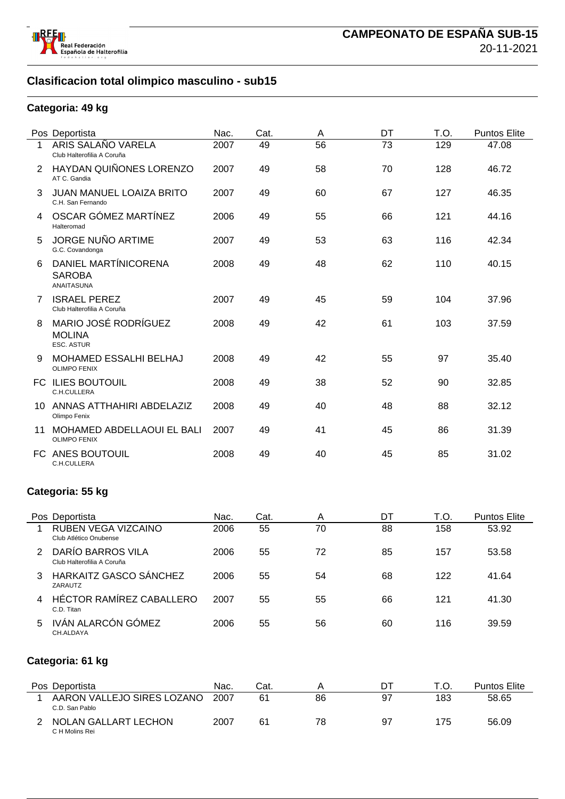

## **Clasificacion total olimpico masculino - sub15**

#### **Categoria: 49 kg**

|    | Pos Deportista                                             | Nac. | Cat. | A  | DT | T.O. | <b>Puntos Elite</b> |
|----|------------------------------------------------------------|------|------|----|----|------|---------------------|
| 1  | ARIS SALAÑO VARELA<br>Club Halterofilia A Coruña           | 2007 | 49   | 56 | 73 | 129  | 47.08               |
| 2  | HAYDAN QUIÑONES LORENZO<br>AT C. Gandia                    | 2007 | 49   | 58 | 70 | 128  | 46.72               |
| 3  | <b>JUAN MANUEL LOAIZA BRITO</b><br>C.H. San Fernando       | 2007 | 49   | 60 | 67 | 127  | 46.35               |
|    | OSCAR GÓMEZ MARTÍNEZ<br>Halteromad                         | 2006 | 49   | 55 | 66 | 121  | 44.16               |
| 5  | <b>JORGE NUÑO ARTIME</b><br>G.C. Covandonga                | 2007 | 49   | 53 | 63 | 116  | 42.34               |
| 6  | DANIEL MARTÍNICORENA<br><b>SAROBA</b><br><b>ANAITASUNA</b> | 2008 | 49   | 48 | 62 | 110  | 40.15               |
| 7  | <b>ISRAEL PEREZ</b><br>Club Halterofilia A Coruña          | 2007 | 49   | 45 | 59 | 104  | 37.96               |
| 8  | MARIO JOSÉ RODRÍGUEZ<br><b>MOLINA</b><br><b>ESC. ASTUR</b> | 2008 | 49   | 42 | 61 | 103  | 37.59               |
| 9  | <b>MOHAMED ESSALHI BELHAJ</b><br><b>OLIMPO FENIX</b>       | 2008 | 49   | 42 | 55 | 97   | 35.40               |
|    | <b>FC ILIES BOUTOUIL</b><br>C.H.CULLERA                    | 2008 | 49   | 38 | 52 | 90   | 32.85               |
| 10 | ANNAS ATTHAHIRI ABDELAZIZ<br>Olimpo Fenix                  | 2008 | 49   | 40 | 48 | 88   | 32.12               |
| 11 | MOHAMED ABDELLAOUI EL BALI<br><b>OLIMPO FENIX</b>          | 2007 | 49   | 41 | 45 | 86   | 31.39               |
|    | FC ANES BOUTOUIL<br>C.H.CULLERA                            | 2008 | 49   | 40 | 45 | 85   | 31.02               |

#### **Categoria: 55 kg**

|   | Pos Deportista                                  | Nac. | Cat. | A  | DT | T.O. | <b>Puntos Elite</b> |
|---|-------------------------------------------------|------|------|----|----|------|---------------------|
|   | RUBEN VEGA VIZCAINO<br>Club Atlético Onubense   | 2006 | 55   | 70 | 88 | 158  | 53.92               |
| 2 | DARÍO BARROS VILA<br>Club Halterofilia A Coruña | 2006 | 55   | 72 | 85 | 157  | 53.58               |
| 3 | <b>HARKAITZ GASCO SÁNCHEZ</b><br>ZARAUTZ        | 2006 | 55   | 54 | 68 | 122  | 41.64               |
| 4 | HÉCTOR RAMÍREZ CABALLERO<br>C.D. Titan          | 2007 | 55   | 55 | 66 | 121  | 41.30               |
| 5 | IVÁN ALARCÓN GÓMEZ<br>CH.ALDAYA                 | 2006 | 55   | 56 | 60 | 116  | 39.59               |

## **Categoria: 61 kg**

| Pos Deportista                               |      | Cat.           |    | וט |     | <b>Puntos Elite</b> |
|----------------------------------------------|------|----------------|----|----|-----|---------------------|
| AARON VALLEJO SIRES LOZANO<br>C.D. San Pablo | 2007 | 61             | 86 | 97 | 183 | 58.65               |
| NOLAN GALLART LECHON<br>C H Molins Rei       | 2007 | 6 <sup>1</sup> | 78 | 97 | 175 | 56.09               |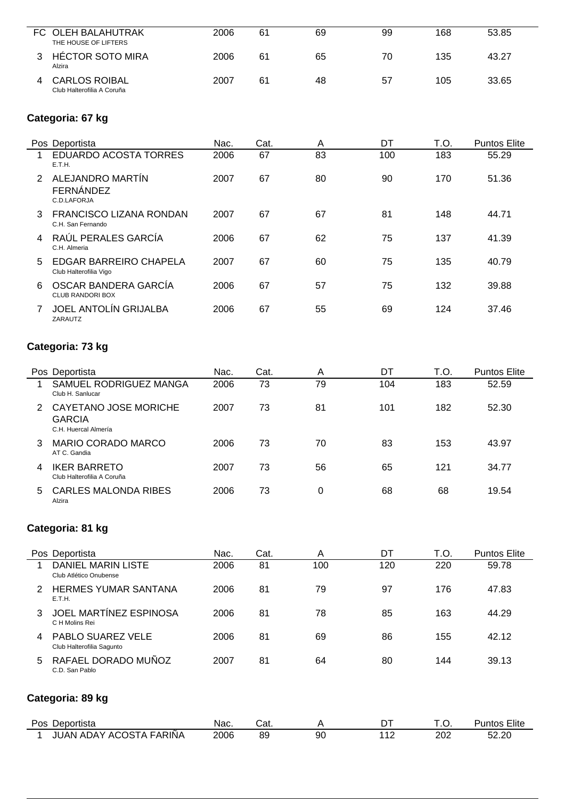| FC OLEH BALAHUTRAK<br>THE HOUSE OF LIFTERS         | 2006 | 61 | 69 | 99 | 168 | 53.85 |
|----------------------------------------------------|------|----|----|----|-----|-------|
| <b>HÉCTOR SOTO MIRA</b><br>Alzira                  | 2006 | 61 | 65 | 70 | 135 | 43.27 |
| <b>CARLOS ROIBAL</b><br>Club Halterofilia A Coruña | 2007 | 61 | 48 | 57 | 105 | 33.65 |

## **Categoria: 67 kg**

| Pos Deportista                                                       | Nac. | Cat. | A  | DT  | T.O. | <b>Puntos Elite</b> |
|----------------------------------------------------------------------|------|------|----|-----|------|---------------------|
| <b>EDUARDO ACOSTA TORRES</b><br>E.T.H.                               | 2006 | 67   | 83 | 100 | 183  | 55.29               |
| ALEJANDRO MARTÍN<br>$\mathcal{P}$<br><b>FERNÁNDEZ</b><br>C.D.LAFORJA | 2007 | 67   | 80 | 90  | 170  | 51.36               |
| FRANCISCO LIZANA RONDAN<br>3<br>C.H. San Fernando                    | 2007 | 67   | 67 | 81  | 148  | 44.71               |
| RAÚL PERALES GARCÍA<br>C.H. Almeria                                  | 2006 | 67   | 62 | 75  | 137  | 41.39               |
| EDGAR BARREIRO CHAPELA<br>5<br>Club Halterofilia Vigo                | 2007 | 67   | 60 | 75  | 135  | 40.79               |
| OSCAR BANDERA GARCIA<br>6<br><b>CLUB RANDORI BOX</b>                 | 2006 | 67   | 57 | 75  | 132  | 39.88               |
| <b>JOEL ANTOLÍN GRIJALBA</b><br>ZARAUTZ                              | 2006 | 67   | 55 | 69  | 124  | 37.46               |

## **Categoria: 73 kg**

|               | Pos Deportista                                                 | Nac. | Cat. | Α  | DT  | T.O. | <b>Puntos Elite</b> |
|---------------|----------------------------------------------------------------|------|------|----|-----|------|---------------------|
|               | SAMUEL RODRIGUEZ MANGA<br>Club H. Sanlucar                     | 2006 | 73   | 79 | 104 | 183  | 52.59               |
| $\mathcal{P}$ | CAYETANO JOSE MORICHE<br><b>GARCIA</b><br>C.H. Huercal Almería | 2007 | 73   | 81 | 101 | 182  | 52.30               |
| 3             | MARIO CORADO MARCO<br>AT C. Gandia                             | 2006 | 73   | 70 | 83  | 153  | 43.97               |
| 4             | <b>IKER BARRETO</b><br>Club Halterofilia A Coruña              | 2007 | 73   | 56 | 65  | 121  | 34.77               |
| 5             | <b>CARLES MALONDA RIBES</b><br>Alzira                          | 2006 | 73   | 0  | 68  | 68   | 19.54               |

## **Categoria: 81 kg**

|               | Pos Deportista                                 | Nac. | Cat. | A   | DT  | T.O. | <b>Puntos Elite</b> |
|---------------|------------------------------------------------|------|------|-----|-----|------|---------------------|
|               | DANIEL MARIN LISTE<br>Club Atlético Onubense   | 2006 | 81   | 100 | 120 | 220  | 59.78               |
| $\mathcal{P}$ | <b>HERMES YUMAR SANTANA</b><br>E.T.H.          | 2006 | 81   | 79  | 97  | 176  | 47.83               |
| 3             | JOEL MARTINEZ ESPINOSA<br>C H Molins Rei       | 2006 | 81   | 78  | 85  | 163  | 44.29               |
| 4             | PABLO SUAREZ VELE<br>Club Halterofilia Sagunto | 2006 | 81   | 69  | 86  | 155  | 42.12               |
| 5             | RAFAEL DORADO MUÑOZ<br>C.D. San Pablo          | 2007 | 81   | 64  | 80  | 144  | 39.13               |
|               | Categoria: 89 kg                               |      |      |     |     |      |                     |
|               | Pos Deportista                                 | Nac. | Cat. | A   | DT  | T.O. | <b>Puntos Elite</b> |
|               | JUAN ADAY ACOSTA FARIÑA                        | 2006 | 89   | 90  | 112 | 202  | 52.20               |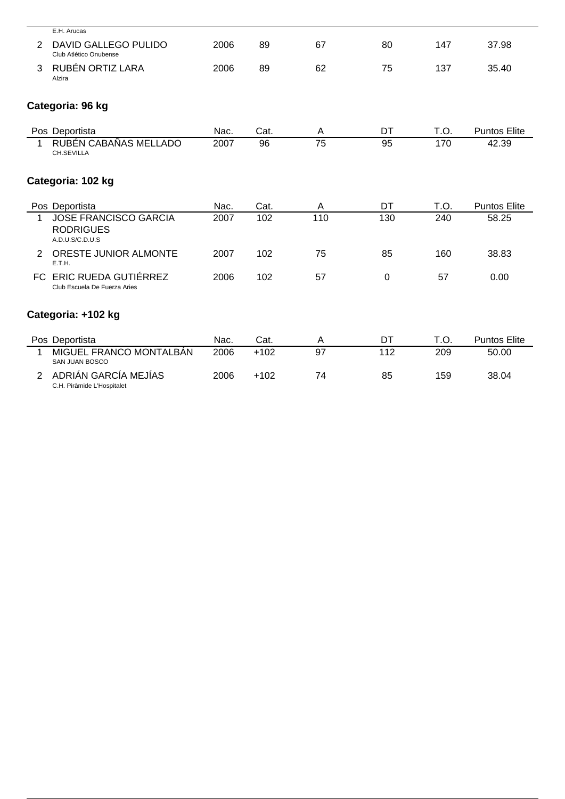|                | E.H. Arucas                                                         |      |        |     |     |      |                     |
|----------------|---------------------------------------------------------------------|------|--------|-----|-----|------|---------------------|
| 2              | DAVID GALLEGO PULIDO<br>Club Atlético Onubense                      | 2006 | 89     | 67  | 80  | 147  | 37.98               |
| 3              | RUBÉN ORTIZ LARA<br>Alzira                                          | 2006 | 89     | 62  | 75  | 137  | 35.40               |
|                | Categoria: 96 kg                                                    |      |        |     |     |      |                     |
|                | Pos Deportista                                                      | Nac. | Cat.   | A   | DT  | T.O. | <b>Puntos Elite</b> |
| 1              | RUBÉN CABAÑAS MELLADO<br>CH.SEVILLA                                 | 2007 | 96     | 75  | 95  | 170  | 42.39               |
|                | Categoria: 102 kg                                                   |      |        |     |     |      |                     |
|                | Pos Deportista                                                      | Nac. | Cat.   | A   | DT  | T.O. | <b>Puntos Elite</b> |
| 1              | <b>JOSE FRANCISCO GARCIA</b><br><b>RODRIGUES</b><br>A.D.U.S/C.D.U.S | 2007 | 102    | 110 | 130 | 240  | 58.25               |
| 2              | ORESTE JUNIOR ALMONTE<br>E.T.H.                                     | 2007 | 102    | 75  | 85  | 160  | 38.83               |
|                | FC ERIC RUEDA GUTIÉRREZ<br>Club Escuela De Fuerza Aries             | 2006 | 102    | 57  | 0   | 57   | 0.00                |
|                | Categoria: +102 kg                                                  |      |        |     |     |      |                     |
|                | Pos Deportista                                                      | Nac. | Cat.   | Α   | DT  | T.O. | <b>Puntos Elite</b> |
| 1              | MIGUEL FRANCO MONTALBÁN<br><b>SAN JUAN BOSCO</b>                    | 2006 | $+102$ | 97  | 112 | 209  | 50.00               |
| $\overline{2}$ | ADRIÁN GARCÍA MEJÍAS                                                | 2006 | $+102$ | 74  | 85  | 159  | 38.04               |

C.H. Piràmide L'Hospitalet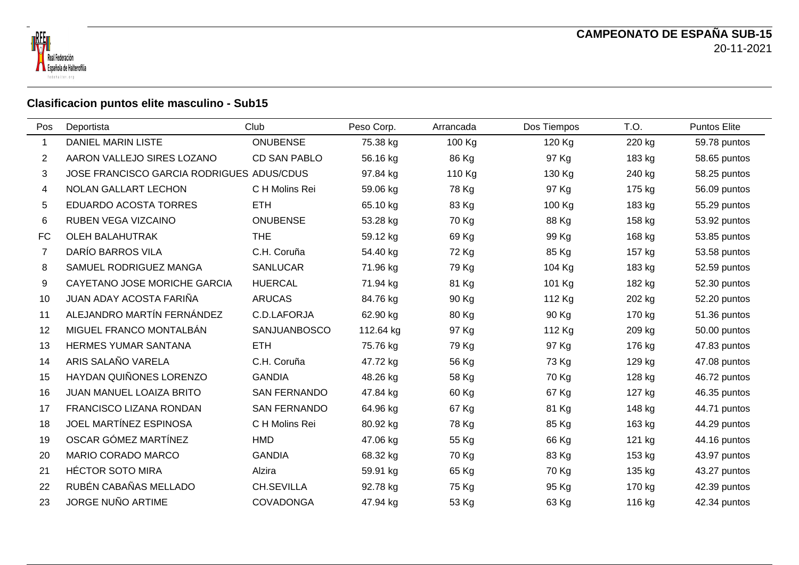



## **Clasificacion puntos elite masculino - Sub15**

| Pos       | Deportista                                | Club                | Peso Corp. | Arrancada | Dos Tiempos | T.O.   | Puntos Elite |
|-----------|-------------------------------------------|---------------------|------------|-----------|-------------|--------|--------------|
| 1         | <b>DANIEL MARIN LISTE</b>                 | <b>ONUBENSE</b>     | 75.38 kg   | 100 Kg    | 120 Kg      | 220 kg | 59.78 puntos |
| 2         | AARON VALLEJO SIRES LOZANO                | CD SAN PABLO        | 56.16 kg   | 86 Kg     | 97 Kg       | 183 kg | 58.65 puntos |
| 3         | JOSE FRANCISCO GARCIA RODRIGUES ADUS/CDUS |                     | 97.84 kg   | 110 Kg    | 130 Kg      | 240 kg | 58.25 puntos |
| 4         | NOLAN GALLART LECHON                      | C H Molins Rei      | 59.06 kg   | 78 Kg     | 97 Kg       | 175 kg | 56.09 puntos |
| 5         | <b>EDUARDO ACOSTA TORRES</b>              | <b>ETH</b>          | 65.10 kg   | 83 Kg     | 100 Kg      | 183 kg | 55.29 puntos |
| 6         | RUBEN VEGA VIZCAINO                       | <b>ONUBENSE</b>     | 53.28 kg   | 70 Kg     | 88 Kg       | 158 kg | 53.92 puntos |
| <b>FC</b> | <b>OLEH BALAHUTRAK</b>                    | <b>THE</b>          | 59.12 kg   | 69 Kg     | 99 Kg       | 168 kg | 53.85 puntos |
| 7         | DARÍO BARROS VILA                         | C.H. Coruña         | 54.40 kg   | 72 Kg     | 85 Kg       | 157 kg | 53.58 puntos |
| 8         | SAMUEL RODRIGUEZ MANGA                    | <b>SANLUCAR</b>     | 71.96 kg   | 79 Kg     | 104 Kg      | 183 kg | 52.59 puntos |
| 9         | CAYETANO JOSE MORICHE GARCIA              | <b>HUERCAL</b>      | 71.94 kg   | 81 Kg     | 101 Kg      | 182 kg | 52.30 puntos |
| 10        | JUAN ADAY ACOSTA FARIÑA                   | <b>ARUCAS</b>       | 84.76 kg   | 90 Kg     | 112 Kg      | 202 kg | 52.20 puntos |
| 11        | ALEJANDRO MARTÍN FERNÁNDEZ                | C.D.LAFORJA         | 62.90 kg   | 80 Kg     | 90 Kg       | 170 kg | 51.36 puntos |
| 12        | MIGUEL FRANCO MONTALBÁN                   | SANJUANBOSCO        | 112.64 kg  | 97 Kg     | 112 Kg      | 209 kg | 50.00 puntos |
| 13        | <b>HERMES YUMAR SANTANA</b>               | <b>ETH</b>          | 75.76 kg   | 79 Kg     | 97 Kg       | 176 kg | 47.83 puntos |
| 14        | ARIS SALAÑO VARELA                        | C.H. Coruña         | 47.72 kg   | 56 Kg     | 73 Kg       | 129 kg | 47.08 puntos |
| 15        | <b>HAYDAN QUIÑONES LORENZO</b>            | <b>GANDIA</b>       | 48.26 kg   | 58 Kg     | 70 Kg       | 128 kg | 46.72 puntos |
| 16        | JUAN MANUEL LOAIZA BRITO                  | <b>SAN FERNANDO</b> | 47.84 kg   | 60 Kg     | 67 Kg       | 127 kg | 46.35 puntos |
| 17        | FRANCISCO LIZANA RONDAN                   | <b>SAN FERNANDO</b> | 64.96 kg   | 67 Kg     | 81 Kg       | 148 kg | 44.71 puntos |
| 18        | JOEL MARTÍNEZ ESPINOSA                    | C H Molins Rei      | 80.92 kg   | 78 Kg     | 85 Kg       | 163 kg | 44.29 puntos |
| 19        | OSCAR GÓMEZ MARTÍNEZ                      | <b>HMD</b>          | 47.06 kg   | 55 Kg     | 66 Kg       | 121 kg | 44.16 puntos |
| 20        | MARIO CORADO MARCO                        | <b>GANDIA</b>       | 68.32 kg   | 70 Kg     | 83 Kg       | 153 kg | 43.97 puntos |
| 21        | <b>HÉCTOR SOTO MIRA</b>                   | Alzira              | 59.91 kg   | 65 Kg     | 70 Kg       | 135 kg | 43.27 puntos |
| 22        | RUBÉN CABAÑAS MELLADO                     | <b>CH.SEVILLA</b>   | 92.78 kg   | 75 Kg     | 95 Kg       | 170 kg | 42.39 puntos |
| 23        | JORGE NUÑO ARTIME                         | <b>COVADONGA</b>    | 47.94 kg   | 53 Kg     | 63 Kg       | 116 kg | 42.34 puntos |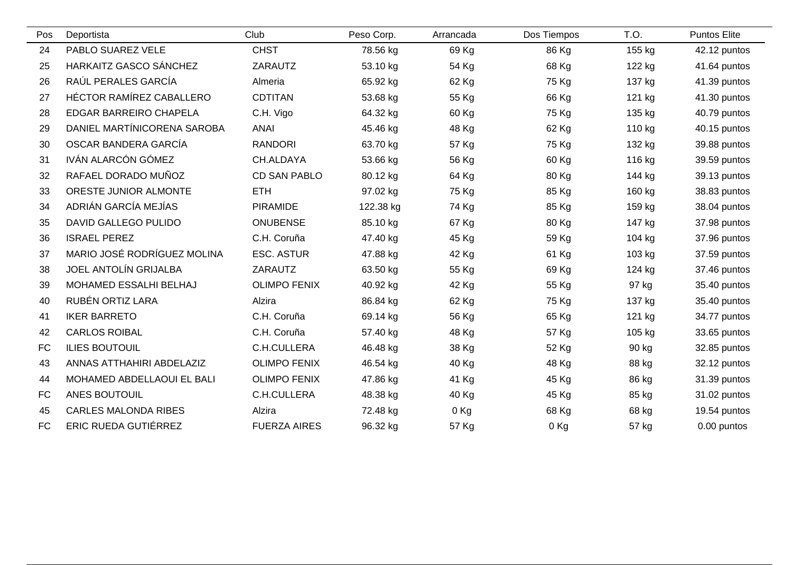| Pos       | Deportista                  | Club                | Peso Corp. | Arrancada | Dos Tiempos | T.O.   | <b>Puntos Elite</b> |
|-----------|-----------------------------|---------------------|------------|-----------|-------------|--------|---------------------|
| 24        | PABLO SUAREZ VELE           | <b>CHST</b>         | 78.56 kg   | 69 Kg     | 86 Kg       | 155 kg | 42.12 puntos        |
| 25        | HARKAITZ GASCO SÁNCHEZ      | ZARAUTZ             | 53.10 kg   | 54 Kg     | 68 Kg       | 122 kg | 41.64 puntos        |
| 26        | RAÚL PERALES GARCÍA         | Almeria             | 65.92 kg   | 62 Kg     | 75 Kg       | 137 kg | 41.39 puntos        |
| 27        | HÉCTOR RAMÍREZ CABALLERO    | <b>CDTITAN</b>      | 53.68 kg   | 55 Kg     | 66 Kg       | 121 kg | 41.30 puntos        |
| 28        | EDGAR BARREIRO CHAPELA      | C.H. Vigo           | 64.32 kg   | 60 Kg     | 75 Kg       | 135 kg | 40.79 puntos        |
| 29        | DANIEL MARTÍNICORENA SAROBA | <b>ANAI</b>         | 45.46 kg   | 48 Kg     | 62 Kg       | 110 kg | 40.15 puntos        |
| 30        | OSCAR BANDERA GARCÍA        | <b>RANDORI</b>      | 63.70 kg   | 57 Kg     | 75 Kg       | 132 kg | 39.88 puntos        |
| 31        | IVÁN ALARCÓN GÓMEZ          | CH.ALDAYA           | 53.66 kg   | 56 Kg     | 60 Kg       | 116 kg | 39.59 puntos        |
| 32        | RAFAEL DORADO MUÑOZ         | <b>CD SAN PABLO</b> | 80.12 kg   | 64 Kg     | 80 Kg       | 144 kg | 39.13 puntos        |
| 33        | ORESTE JUNIOR ALMONTE       | <b>ETH</b>          | 97.02 kg   | 75 Kg     | 85 Kg       | 160 kg | 38.83 puntos        |
| 34        | ADRIÁN GARCÍA MEJÍAS        | PIRAMIDE            | 122.38 kg  | 74 Kg     | 85 Kg       | 159 kg | 38.04 puntos        |
| 35        | DAVID GALLEGO PULIDO        | <b>ONUBENSE</b>     | 85.10 kg   | 67 Kg     | 80 Kg       | 147 kg | 37.98 puntos        |
| 36        | <b>ISRAEL PEREZ</b>         | C.H. Coruña         | 47.40 kg   | 45 Kg     | 59 Kg       | 104 kg | 37.96 puntos        |
| 37        | MARIO JOSÉ RODRÍGUEZ MOLINA | <b>ESC. ASTUR</b>   | 47.88 kg   | 42 Kg     | 61 Kg       | 103 kg | 37.59 puntos        |
| 38        | JOEL ANTOLÍN GRIJALBA       | ZARAUTZ             | 63.50 kg   | 55 Kg     | 69 Kg       | 124 kg | 37.46 puntos        |
| 39        | MOHAMED ESSALHI BELHAJ      | <b>OLIMPO FENIX</b> | 40.92 kg   | 42 Kg     | 55 Kg       | 97 kg  | 35.40 puntos        |
| 40        | RUBÉN ORTIZ LARA            | Alzira              | 86.84 kg   | 62 Kg     | 75 Kg       | 137 kg | 35.40 puntos        |
| 41        | <b>IKER BARRETO</b>         | C.H. Coruña         | 69.14 kg   | 56 Kg     | 65 Kg       | 121 kg | 34.77 puntos        |
| 42        | <b>CARLOS ROIBAL</b>        | C.H. Coruña         | 57.40 kg   | 48 Kg     | 57 Kg       | 105 kg | 33.65 puntos        |
| <b>FC</b> | <b>ILIES BOUTOUIL</b>       | C.H.CULLERA         | 46.48 kg   | 38 Kg     | 52 Kg       | 90 kg  | 32.85 puntos        |
| 43        | ANNAS ATTHAHIRI ABDELAZIZ   | <b>OLIMPO FENIX</b> | 46.54 kg   | 40 Kg     | 48 Kg       | 88 kg  | 32.12 puntos        |
| 44        | MOHAMED ABDELLAOUI EL BALI  | <b>OLIMPO FENIX</b> | 47.86 kg   | 41 Kg     | 45 Kg       | 86 kg  | 31.39 puntos        |
| <b>FC</b> | ANES BOUTOUIL               | C.H.CULLERA         | 48.38 kg   | 40 Kg     | 45 Kg       | 85 kg  | 31.02 puntos        |
| 45        | <b>CARLES MALONDA RIBES</b> | Alzira              | 72.48 kg   | $0$ Kg    | 68 Kg       | 68 kg  | 19.54 puntos        |
| FC        | <b>ERIC RUEDA GUTIÉRREZ</b> | <b>FUERZA AIRES</b> | 96.32 kg   | 57 Kg     | $0$ Kg      | 57 kg  | 0.00 puntos         |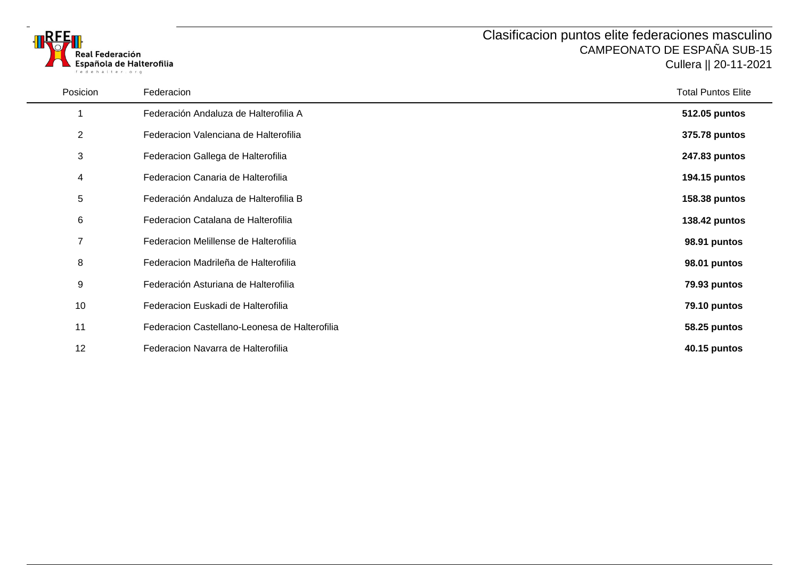



Posicion Federacion Total Puntos Elite Federación Andaluza de Halterofilia A **512.05 puntos** Federacion Valenciana de Halterofilia **375.78 puntos** Federacion Gallega de Halterofilia **247.83 puntos** Federacion Canaria de Halterofilia **194.15 puntos** Federación Andaluza de Halterofilia B **158.38 puntos** Federacion Catalana de Halterofilia **138.42 puntos** Federacion Melillense de Halterofilia **98.91 puntos** Federacion Madrileña de Halterofilia **98.01 puntos** Federación Asturiana de Halterofilia **79.93 puntos** Federacion Euskadi de Halterofilia **79.10 puntos** Federacion Castellano-Leonesa de Halterofilia **58.25 puntos** Federacion Navarra de Halterofilia **40.15 puntos**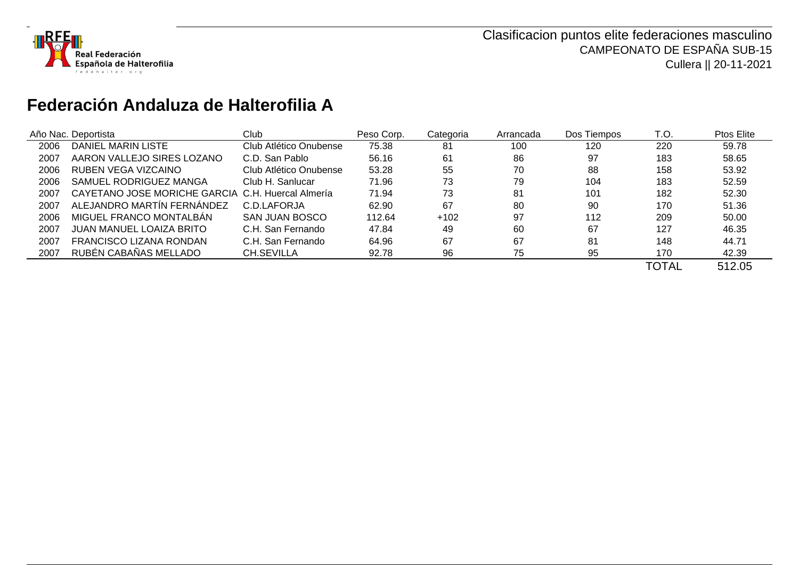

## **Federación Andaluza de Halterofilia A**

|      | Año Nac. Deportista                               | Club                   | Peso Corp. | Categoria | Arrancada | Dos Tiempos | T.O.         | Ptos Elite |
|------|---------------------------------------------------|------------------------|------------|-----------|-----------|-------------|--------------|------------|
| 2006 | DANIEL MARIN LISTE                                | Club Atlético Onubense | 75.38      | 81        | 100       | 120         | 220          | 59.78      |
| 2007 | AARON VALLEJO SIRES LOZANO                        | C.D. San Pablo         | 56.16      | 61        | 86        | 97          | 183          | 58.65      |
| 2006 | RUBEN VEGA VIZCAINO                               | Club Atlético Onubense | 53.28      | 55        | 70        | 88          | 158          | 53.92      |
| 2006 | SAMUEL RODRIGUEZ MANGA                            | Club H. Sanlucar       | 71.96      | 73        | 79        | 104         | 183          | 52.59      |
| 2007 | CAYETANO JOSE MORICHE GARCIA C.H. Huercal Almería |                        | 71.94      | 73        | 81        | 101         | 182          | 52.30      |
| 2007 | ALEJANDRO MARTÍN FERNÁNDEZ                        | C.D.LAFORJA            | 62.90      | 67        | 80        | 90          | 170          | 51.36      |
| 2006 | MIGUEL FRANCO MONTALBAN                           | SAN JUAN BOSCO         | 112.64     | $+102$    | 97        | 112         | 209          | 50.00      |
| 2007 | JUAN MANUEL LOAIZA BRITO                          | C.H. San Fernando      | 47.84      | 49        | 60        | 67          | 127          | 46.35      |
| 2007 | FRANCISCO LIZANA RONDAN                           | C.H. San Fernando      | 64.96      | 67        | 67        | 81          | 148          | 44.71      |
| 2007 | RUBÉN CABAÑAS MELLADO                             | CH.SEVILLA             | 92.78      | 96        | 75        | 95          | 170          | 42.39      |
|      |                                                   |                        |            |           |           |             | <b>TOTAL</b> | 512.05     |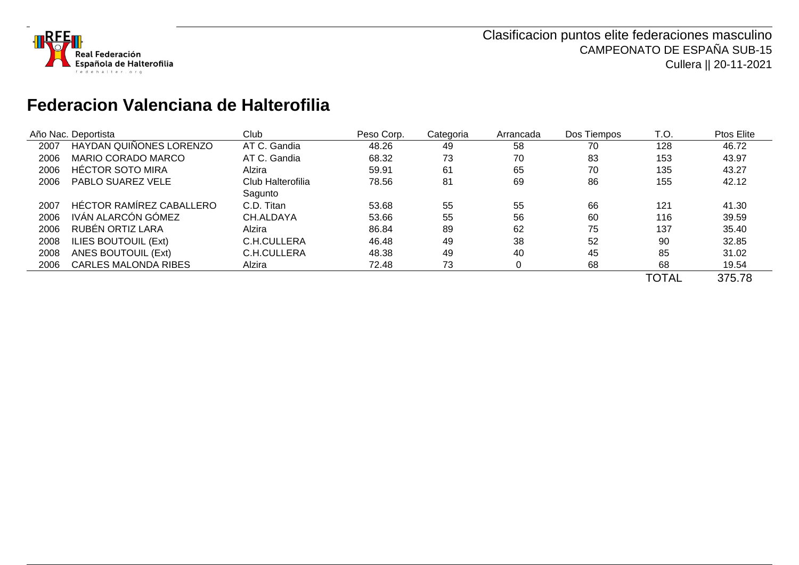

## **Federacion Valenciana de Halterofilia**

|      | Año Nac. Deportista            | Club              | Peso Corp. | Categoria | Arrancada | Dos Tiempos | T.O.         | Ptos Elite |
|------|--------------------------------|-------------------|------------|-----------|-----------|-------------|--------------|------------|
| 2007 | <b>HAYDAN QUIÑONES LORENZO</b> | AT C. Gandia      | 48.26      | 49        | 58        | 70          | 128          | 46.72      |
| 2006 | <b>MARIO CORADO MARCO</b>      | AT C. Gandia      | 68.32      | 73        | 70        | 83          | 153          | 43.97      |
| 2006 | <b>HÉCTOR SOTO MIRA</b>        | Alzira            | 59.91      | 61        | 65        | 70          | 135          | 43.27      |
| 2006 | PABLO SUAREZ VELE              | Club Halterofilia | 78.56      | 81        | 69        | 86          | 155          | 42.12      |
|      |                                | Sagunto           |            |           |           |             |              |            |
| 2007 | HÉCTOR RAMÍREZ CABALLERO       | C.D. Titan        | 53.68      | 55        | 55        | 66          | 121          | 41.30      |
| 2006 | IVÁN ALARCÓN GÓMEZ             | CH.ALDAYA         | 53.66      | 55        | 56        | 60          | 116          | 39.59      |
| 2006 | RUBÉN ORTIZ LARA               | Alzira            | 86.84      | 89        | 62        | 75          | 137          | 35.40      |
| 2008 | ILIES BOUTOUIL (Ext)           | C.H.CULLERA       | 46.48      | 49        | 38        | 52          | 90           | 32.85      |
| 2008 | ANES BOUTOUIL (Ext)            | C.H.CULLERA       | 48.38      | 49        | 40        | 45          | 85           | 31.02      |
| 2006 | <b>CARLES MALONDA RIBES</b>    | Alzira            | 72.48      | 73        |           | 68          | 68           | 19.54      |
|      |                                |                   |            |           |           |             | <b>TOTAL</b> | 375.78     |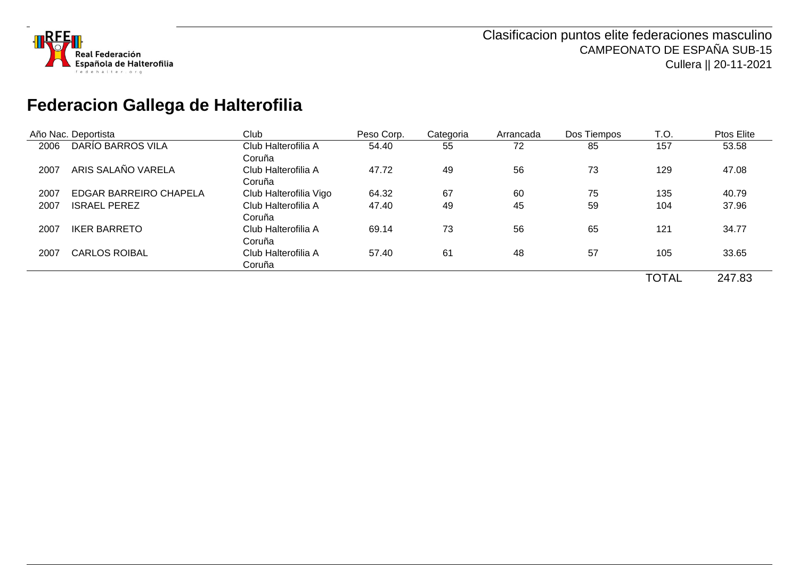

# **Federacion Gallega de Halterofilia**

|      | Año Nac. Deportista    | Club                   | Peso Corp. | Categoria | Arrancada | Dos Tiempos | T.O.         | Ptos Elite |
|------|------------------------|------------------------|------------|-----------|-----------|-------------|--------------|------------|
| 2006 | DARÍO BARROS VILA      | Club Halterofilia A    | 54.40      | 55        | 72        | 85          | 157          | 53.58      |
|      |                        | Coruña                 |            |           |           |             |              |            |
| 2007 | ARIS SALAÑO VARELA     | Club Halterofilia A    | 47.72      | 49        | 56        | 73          | 129          | 47.08      |
|      |                        | Coruña                 |            |           |           |             |              |            |
| 2007 | EDGAR BARREIRO CHAPELA | Club Halterofilia Vigo | 64.32      | 67        | 60        | 75          | 135          | 40.79      |
| 2007 | <b>ISRAEL PEREZ</b>    | Club Halterofilia A    | 47.40      | 49        | 45        | 59          | 104          | 37.96      |
|      |                        | Coruña                 |            |           |           |             |              |            |
| 2007 | <b>IKER BARRETO</b>    | Club Halterofilia A    | 69.14      | 73        | 56        | 65          | 121          | 34.77      |
|      |                        | Coruña                 |            |           |           |             |              |            |
| 2007 | <b>CARLOS ROIBAL</b>   | Club Halterofilia A    | 57.40      | 61        | 48        | 57          | 105          | 33.65      |
|      |                        | Coruña                 |            |           |           |             |              |            |
|      |                        |                        |            |           |           |             | <b>TOTAL</b> | 247.83     |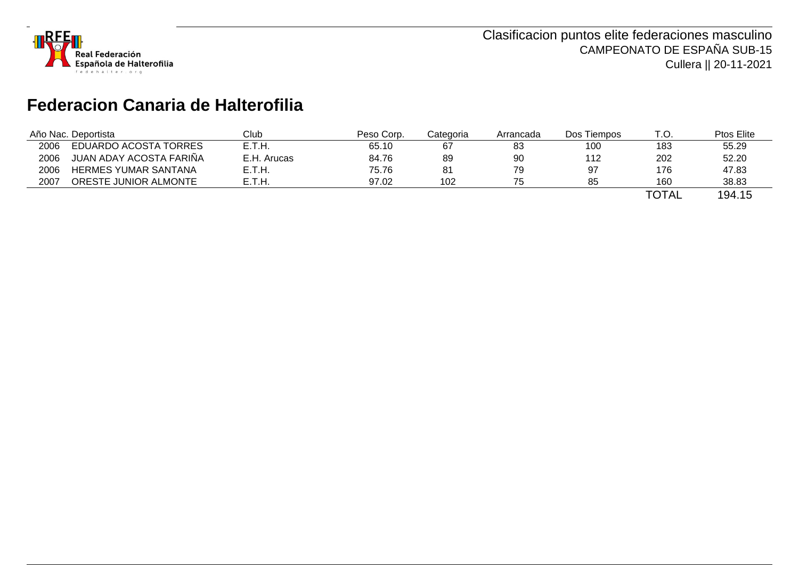

# **Federacion Canaria de Halterofilia**

| Año Nac. Deportista |                             | Club        | Peso Corp. | Categoria | Arrancada | Dos Tiempos | T.O.                    | <b>Ptos Elite</b>                   |
|---------------------|-----------------------------|-------------|------------|-----------|-----------|-------------|-------------------------|-------------------------------------|
| 2006                | EDUARDO ACOSTA TORRES       | E.T.H.      | 65.10      | 67        | 83        | 100         | 183                     | 55.29                               |
| 2006                | JUAN ADAY ACOSTA FARIÑA     | E.H. Arucas | 84.76      | 89        | 90        | 112         | 202                     | 52.20                               |
| 2006                | <b>HERMES YUMAR SANTANA</b> | E.T.H.      | 75.76      | 81        | 79        |             | 176                     | 47.83                               |
| 2007                | ORESTE JUNIOR ALMONTE       | E.T.H       | 97.02      | 102       | 75        | 85          | 160                     | 38.83                               |
|                     |                             |             |            |           |           |             | $T$ $\cap$ $T \wedge T$ | $\lambda$ $\wedge$ $\lambda$ $\sim$ |

TOTAL 194.15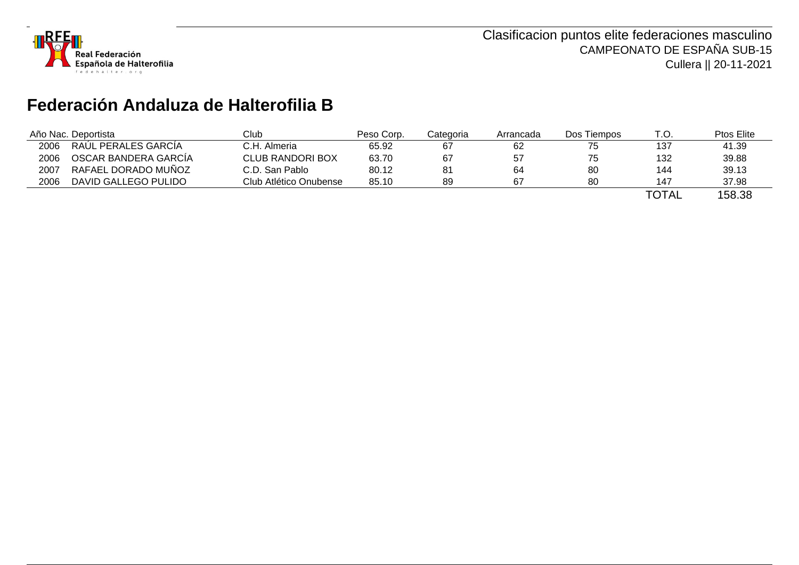

# **Federación Andaluza de Halterofilia B**

|      | Año Nac. Deportista  | Club                    | Peso Corp. | Categoria | Arrancada | Dos Tiempos | T.O.                    | Ptos Elite |
|------|----------------------|-------------------------|------------|-----------|-----------|-------------|-------------------------|------------|
| 2006 | RAUL PERALES GARCIA  | C.H. Almeria            | 65.92      | 67        | 62        |             | 137                     | 41.39      |
| 2006 | OSCAR BANDERA GARCIA | <b>CLUB RANDORI BOX</b> | 63.70      | 67        | 57        |             | 132                     | 39.88      |
| 2007 | RAFAEL DORADO MUÑOZ  | C.D. San Pablo          | 80.12      | 81        | 64        | 80          | 144                     | 39.13      |
| 2006 | DAVID GALLEGO PULIDO | Club Atlético Onubense  | 85.10      | 89        | -67       | 80          | 147                     | 37.98      |
|      |                      |                         |            |           |           |             | $T$ $\cap$ $T \wedge I$ | 1000       |

TOTAL 158.38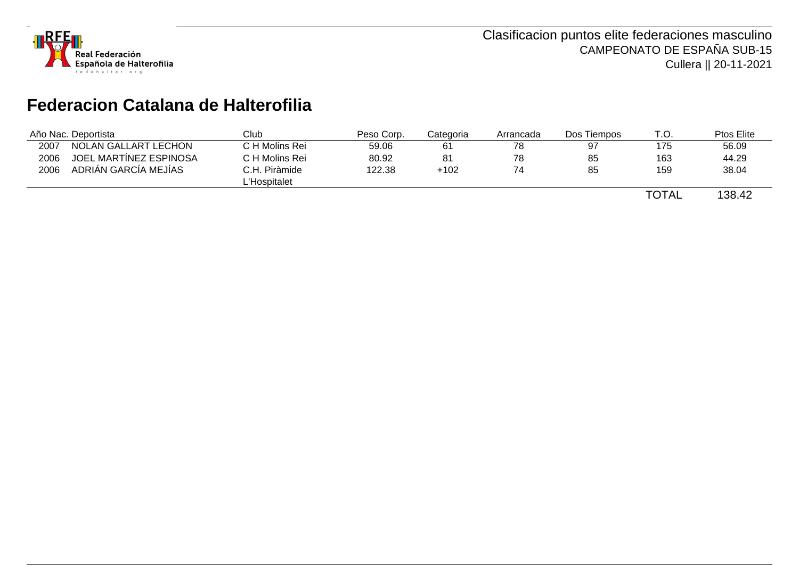

## **Federacion Catalana de Halterofilia**

|      | Año Nac. Deportista    | Club           | Peso Corp. | Categoria | Arrancada | Dos Tiempos | T.O.  | Ptos Elite |
|------|------------------------|----------------|------------|-----------|-----------|-------------|-------|------------|
| 2007 | NOLAN GALLART LECHON   | C H Molins Rei | 59.06      | 61        | 78        | 97          | 175   | 56.09      |
| 2006 | JOEL MARTÍNEZ ESPINOSA | C H Molins Rei | 80.92      | 81        | 78        | 85          | 163   | 44.29      |
| 2006 | ADRIAN GARCIA MEJIAS   | C.H. Piràmide  | 122.38     | $+102$    | 74        | 85          | 159   | 38.04      |
|      |                        | L'Hospitalet   |            |           |           |             |       |            |
|      |                        |                |            |           |           |             | TOTAL | 138.42     |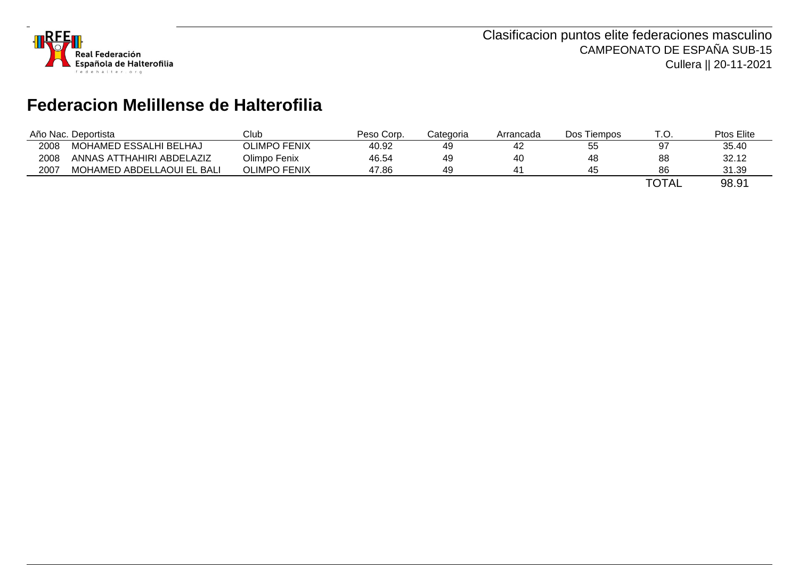

## **Federacion Melillense de Halterofilia**

|      | Año Nac. Deportista        | Club                | Peso Corp. | Categoria | Arrancada | Dos Tiempos | T.O.         | Ptos Elite |
|------|----------------------------|---------------------|------------|-----------|-----------|-------------|--------------|------------|
| 2008 | MOHAMED ESSALHI BELHAJ     | <b>OLIMPO FENIX</b> | 40.92      | 49        | 42        | 55          | 97           | 35.40      |
| 2008 | ANNAS ATTHAHIRI ABDELAZIZ  | Olimpo Fenix        | 46.54      | 49        | 40        | 48          | 88           | 32.12      |
| 2007 | MOHAMED ABDELLAOUI EL BALI | <b>OLIMPO FENIX</b> | 47.86      | 49        |           | 45          | 86           | 31.39      |
|      |                            |                     |            |           |           |             | <b>TOTAL</b> | 98.91      |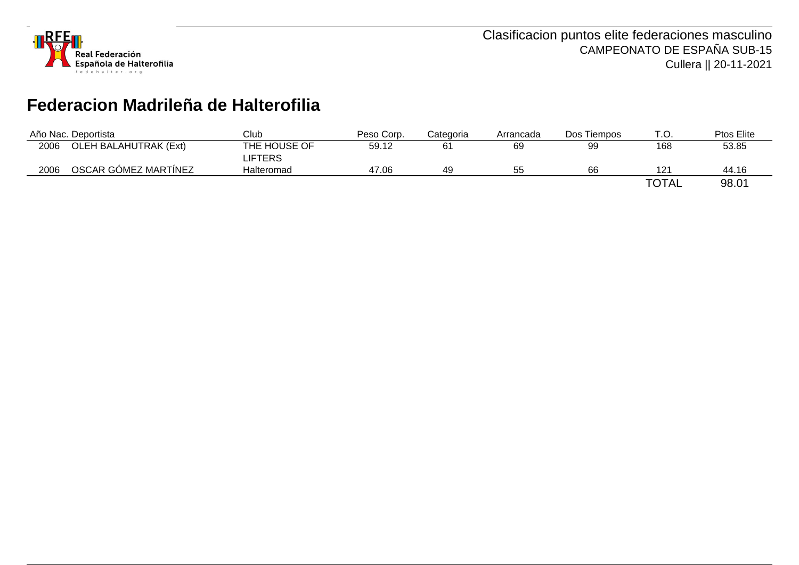

## **Federacion Madrileña de Halterofilia**

|      | Año Nac. Deportista          | Club           | Peso Corp. | Categoria | Arrancada | Dos Tiempos | T.O.         | Ptos Elite |
|------|------------------------------|----------------|------------|-----------|-----------|-------------|--------------|------------|
| 2006 | <b>OLEH BALAHUTRAK (Ext)</b> | THE HOUSE OF   | 59.12      | 61        | 69        | 99          | 168          | 53.85      |
|      |                              | <b>LIFTERS</b> |            |           |           |             |              |            |
| 2006 | OSCAR GÓMEZ MARTÍNEZ         | Halteromad     | 47.06      | 49        | 55        | 66          |              | 44.16      |
|      |                              |                |            |           |           |             | <b>TOTAL</b> | 98.01      |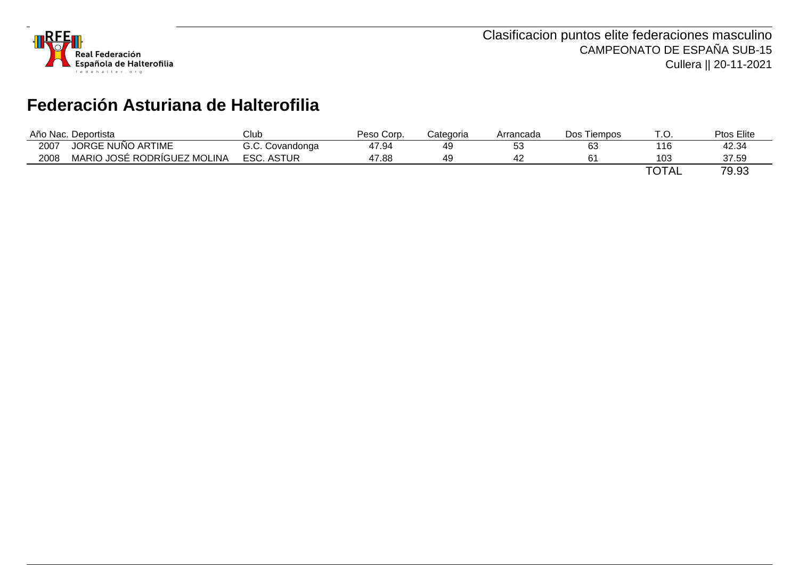

# **Federación Asturiana de Halterofilia**

|      | Año Nac. Deportista         | Club              | Peso Corp. | Categoria | Arrancada | Dos Tiempos | ٢.Ο.         | Ptos Elite |
|------|-----------------------------|-------------------|------------|-----------|-----------|-------------|--------------|------------|
| 2007 | JORGE NUÑO ARTIME           | G.C. Covandonga   | 47.94      | 49        | につ<br>◡◡  | 63          | 116          | 42.34      |
| 2008 | MARIO JOSÉ RODRÍGUEZ MOLINA | <b>ESC. ASTUR</b> | 47.88      | 49        | 44        |             | 103          | 37.59      |
|      |                             |                   |            |           |           |             | <b>TOTAL</b> | 79.93      |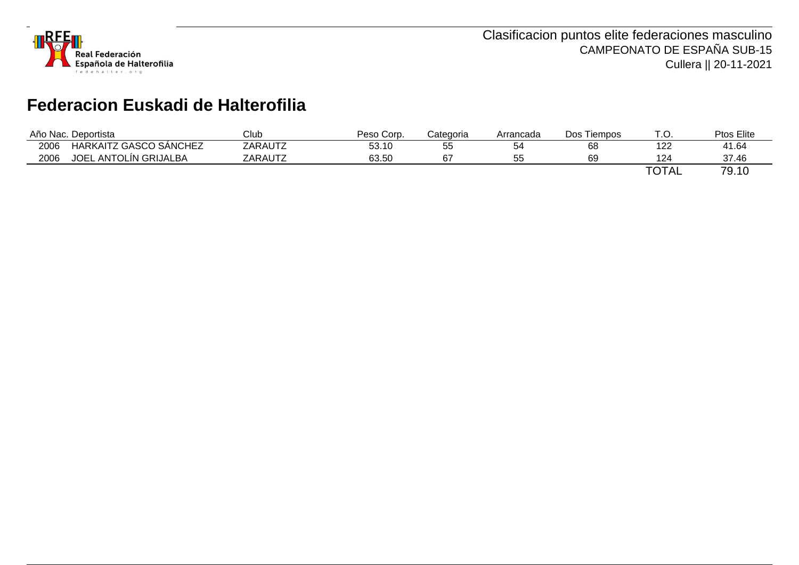

# **Federacion Euskadi de Halterofilia**

| Año Nac. . | Deportista                                   | Club    | Peso Corp. | Categoria | Arrancada      | Dos<br><b>Tiempos</b> | . آ          | Ptos Elite                                            |
|------------|----------------------------------------------|---------|------------|-----------|----------------|-----------------------|--------------|-------------------------------------------------------|
| 2006       | HARKAITZ GASCO SÁNCHEZ                       | ZARAUTZ | 53.10      | ჂჂ        | n.             | 68                    | າດຕ<br>122   | 41.64                                                 |
| 2006       | <b>JOEL</b><br><sub>–</sub> ANTOLÍN GRIJALBA | ZARAUTZ | 63.50      | c7        | --<br>へん<br>JJ | 69                    | 124          | 37.46                                                 |
|            |                                              |         |            |           |                |                       | <b>TOTAL</b> | $\overline{\phantom{a}}$<br>$\overline{10}$<br>'Y. IU |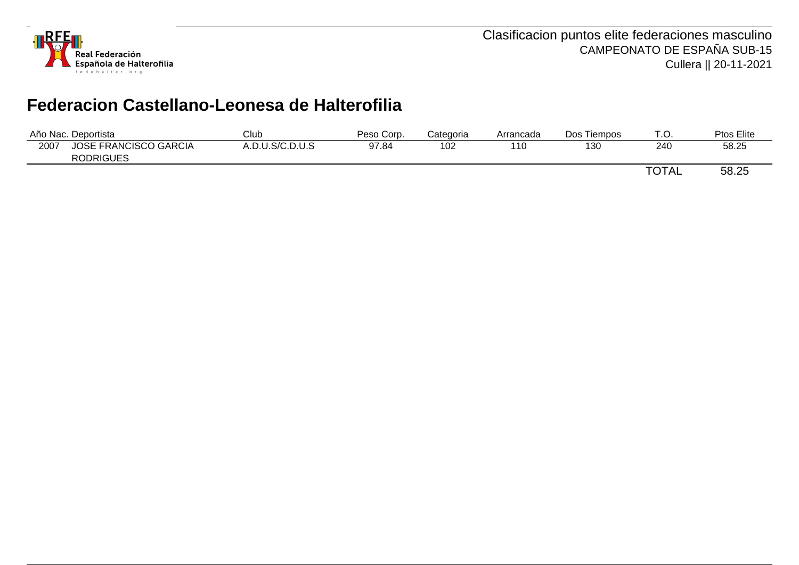

## **Federacion Castellano-Leonesa de Halterofilia**

| Año Nac. | Deportista                                       | Club            | Peso Corp. | Categoria | Arrancada | Dos Tiempos | $\tau$ $\sim$<br>. ب | Ptos Elite |
|----------|--------------------------------------------------|-----------------|------------|-----------|-----------|-------------|----------------------|------------|
| 2007     | <b>JOSE FRANCISCO GARCIA</b><br><b>RODRIGUES</b> | A.D.U.S/C.D.U.S | 97.84      | 102       | 110       | 130         | 240                  | 58.25      |
|          |                                                  |                 |            |           |           |             | <b>TOTAL</b>         | 58.25      |